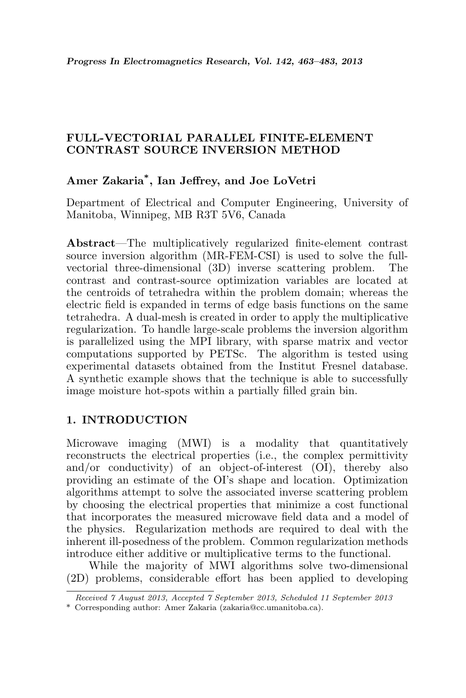# FULL-VECTORIAL PARALLEL FINITE-ELEMENT CONTRAST SOURCE INVERSION METHOD

# Amer Zakaria\* , Ian Jeffrey, and Joe LoVetri

Department of Electrical and Computer Engineering, University of Manitoba, Winnipeg, MB R3T 5V6, Canada

Abstract—The multiplicatively regularized finite-element contrast source inversion algorithm (MR-FEM-CSI) is used to solve the fullvectorial three-dimensional (3D) inverse scattering problem. The contrast and contrast-source optimization variables are located at the centroids of tetrahedra within the problem domain; whereas the electric field is expanded in terms of edge basis functions on the same tetrahedra. A dual-mesh is created in order to apply the multiplicative regularization. To handle large-scale problems the inversion algorithm is parallelized using the MPI library, with sparse matrix and vector computations supported by PETSc. The algorithm is tested using experimental datasets obtained from the Institut Fresnel database. A synthetic example shows that the technique is able to successfully image moisture hot-spots within a partially filled grain bin.

## 1. INTRODUCTION

Microwave imaging (MWI) is a modality that quantitatively reconstructs the electrical properties (i.e., the complex permittivity and/or conductivity) of an object-of-interest (OI), thereby also providing an estimate of the OI's shape and location. Optimization algorithms attempt to solve the associated inverse scattering problem by choosing the electrical properties that minimize a cost functional that incorporates the measured microwave field data and a model of the physics. Regularization methods are required to deal with the inherent ill-posedness of the problem. Common regularization methods introduce either additive or multiplicative terms to the functional.

While the majority of MWI algorithms solve two-dimensional (2D) problems, considerable effort has been applied to developing

Received 7 August 2013, Accepted 7 September 2013, Scheduled 11 September 2013

<sup>\*</sup> Corresponding author: Amer Zakaria (zakaria@cc.umanitoba.ca).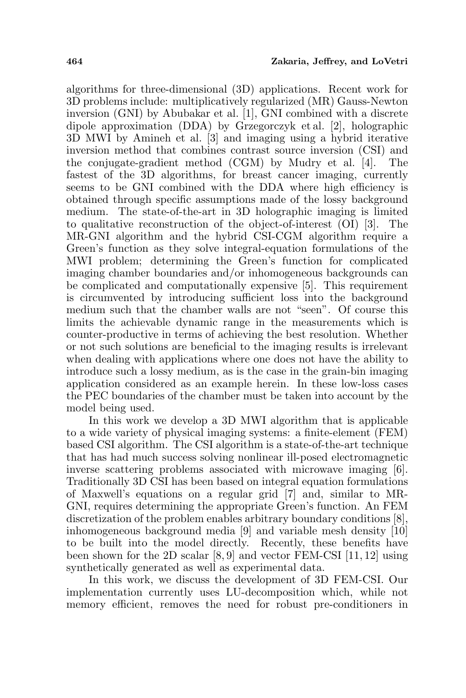algorithms for three-dimensional (3D) applications. Recent work for 3D problems include: multiplicatively regularized (MR) Gauss-Newton inversion (GNI) by Abubakar et al. [1], GNI combined with a discrete dipole approximation (DDA) by Grzegorczyk et al. [2], holographic 3D MWI by Amineh et al. [3] and imaging using a hybrid iterative inversion method that combines contrast source inversion (CSI) and the conjugate-gradient method (CGM) by Mudry et al. [4]. The fastest of the 3D algorithms, for breast cancer imaging, currently seems to be GNI combined with the DDA where high efficiency is obtained through specific assumptions made of the lossy background medium. The state-of-the-art in 3D holographic imaging is limited to qualitative reconstruction of the object-of-interest (OI) [3]. The MR-GNI algorithm and the hybrid CSI-CGM algorithm require a Green's function as they solve integral-equation formulations of the MWI problem; determining the Green's function for complicated imaging chamber boundaries and/or inhomogeneous backgrounds can be complicated and computationally expensive [5]. This requirement is circumvented by introducing sufficient loss into the background medium such that the chamber walls are not "seen". Of course this limits the achievable dynamic range in the measurements which is counter-productive in terms of achieving the best resolution. Whether or not such solutions are beneficial to the imaging results is irrelevant when dealing with applications where one does not have the ability to introduce such a lossy medium, as is the case in the grain-bin imaging application considered as an example herein. In these low-loss cases the PEC boundaries of the chamber must be taken into account by the model being used.

In this work we develop a 3D MWI algorithm that is applicable to a wide variety of physical imaging systems: a finite-element (FEM) based CSI algorithm. The CSI algorithm is a state-of-the-art technique that has had much success solving nonlinear ill-posed electromagnetic inverse scattering problems associated with microwave imaging [6]. Traditionally 3D CSI has been based on integral equation formulations of Maxwell's equations on a regular grid [7] and, similar to MR-GNI, requires determining the appropriate Green's function. An FEM discretization of the problem enables arbitrary boundary conditions [8], inhomogeneous background media [9] and variable mesh density [10] to be built into the model directly. Recently, these benefits have been shown for the 2D scalar [8, 9] and vector FEM-CSI [11, 12] using synthetically generated as well as experimental data.

In this work, we discuss the development of 3D FEM-CSI. Our implementation currently uses LU-decomposition which, while not memory efficient, removes the need for robust pre-conditioners in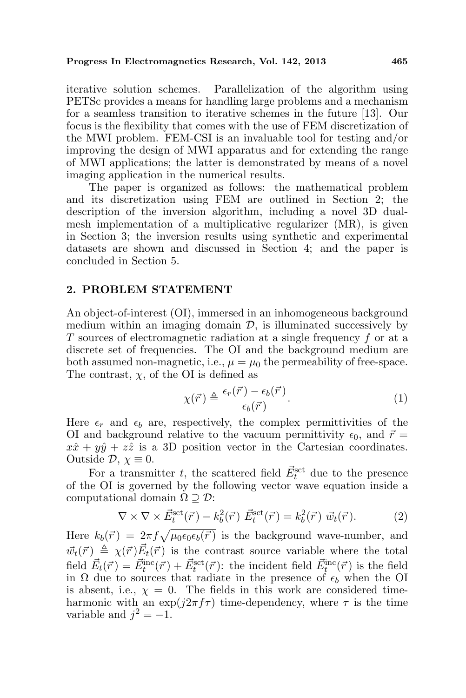iterative solution schemes. Parallelization of the algorithm using PETSc provides a means for handling large problems and a mechanism for a seamless transition to iterative schemes in the future [13]. Our focus is the flexibility that comes with the use of FEM discretization of the MWI problem. FEM-CSI is an invaluable tool for testing and/or improving the design of MWI apparatus and for extending the range of MWI applications; the latter is demonstrated by means of a novel imaging application in the numerical results.

The paper is organized as follows: the mathematical problem and its discretization using FEM are outlined in Section 2; the description of the inversion algorithm, including a novel 3D dualmesh implementation of a multiplicative regularizer (MR), is given in Section 3; the inversion results using synthetic and experimental datasets are shown and discussed in Section 4; and the paper is concluded in Section 5.

#### 2. PROBLEM STATEMENT

An object-of-interest (OI), immersed in an inhomogeneous background medium within an imaging domain  $D$ , is illuminated successively by T sources of electromagnetic radiation at a single frequency f or at a discrete set of frequencies. The OI and the background medium are both assumed non-magnetic, i.e.,  $\mu = \mu_0$  the permeability of free-space. The contrast,  $\chi$ , of the OI is defined as

$$
\chi(\vec{r}) \triangleq \frac{\epsilon_r(\vec{r}) - \epsilon_b(\vec{r})}{\epsilon_b(\vec{r})}.
$$
\n(1)

Here  $\epsilon_r$  and  $\epsilon_b$  are, respectively, the complex permittivities of the OI and background relative to the vacuum permittivity  $\epsilon_0$ , and  $\vec{r}$  =  $x\hat{x} + y\hat{y} + z\hat{z}$  is a 3D position vector in the Cartesian coordinates. Outside  $\mathcal{D}, \chi \equiv 0$ .

For a transmitter t, the scattered field  $\vec{E}_{t}^{\text{set}}$  due to the presence of the OI is governed by the following vector wave equation inside a computational domain  $\Omega \supseteq \mathcal{D}$ :

$$
\nabla \times \nabla \times \vec{E}_t^{\text{set}}(\vec{r}) - k_b^2(\vec{r}) \ \vec{E}_t^{\text{set}}(\vec{r}) = k_b^2(\vec{r}) \ \vec{w}_t(\vec{r}). \tag{2}
$$

Here  $k_b(\vec{r}) = 2\pi f \sqrt{\mu_0 \epsilon_0 \epsilon_b(\vec{r})}$  is the background wave-number, and  $\vec{w}_t(\vec{r}) \triangleq \chi(\vec{r}) \vec{E}_t(\vec{r})$  is the contrast source variable where the total field  $\vec{E}_t(\vec{r}) = \vec{E}_t^{\text{inc}}(\vec{r}) + \vec{E}_t^{\text{set}}(\vec{r})$ : the incident field  $\vec{E}_t^{\text{inc}}(\vec{r})$  is the field in  $\Omega$  due to sources that radiate in the presence of  $\epsilon_b$  when the OI is absent, i.e.,  $\chi = 0$ . The fields in this work are considered timeharmonic with an  $\exp(j2\pi f\tau)$  time-dependency, where  $\tau$  is the time variable and  $j^2 = -1$ .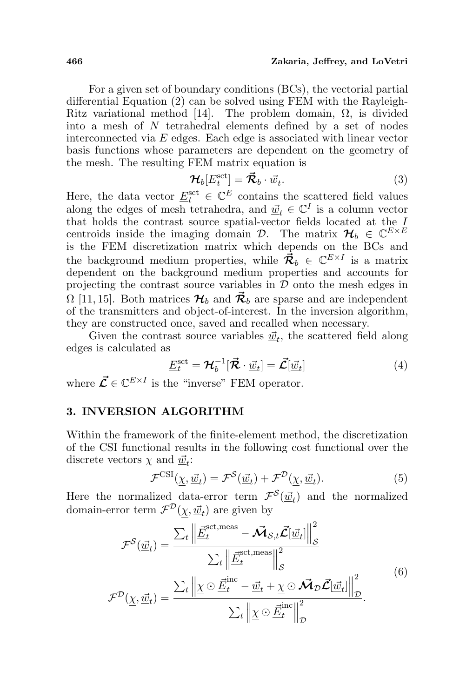#### 466 Zakaria, Jeffrey, and LoVetri

For a given set of boundary conditions (BCs), the vectorial partial differential Equation (2) can be solved using FEM with the Rayleigh-Ritz variational method [14]. The problem domain,  $\Omega$ , is divided into a mesh of N tetrahedral elements defined by a set of nodes interconnected via E edges. Each edge is associated with linear vector basis functions whose parameters are dependent on the geometry of the mesh. The resulting FEM matrix equation is

$$
\mathcal{H}_b[\underline{E}_t^{\text{sct}}] = \vec{\mathcal{R}}_b \cdot \underline{\vec{w}}_t. \tag{3}
$$

Here, the data vector  $\underline{E}_t^{\text{sct}} \in \mathbb{C}^E$  contains the scattered field values along the edges of mesh tetrahedra, and  $\vec{\underline{w}}_t \in \mathbb{C}^I$  is a column vector that holds the contrast source spatial-vector fields located at the I centroids inside the imaging domain  $\mathcal{D}$ . The matrix  $\mathcal{H}_b \in \mathbb{C}^{E \times E}$ is the FEM discretization matrix which depends on the BCs and the background medium properties, while  $\vec{\mathcal{R}}_b \in \mathbb{C}^{E \times I}$  is a matrix dependent on the background medium properties and accounts for projecting the contrast source variables in  $D$  onto the mesh edges in  $\Omega$  [11, 15]. Both matrices  $\mathcal{H}_b$  and  $\mathcal{R}_b$  are sparse and are independent of the transmitters and object-of-interest. In the inversion algorithm, they are constructed once, saved and recalled when necessary.

Given the contrast source variables  $\vec{w}_t$ , the scattered field along edges is calculated as

$$
\underline{E}_t^{\text{set}} = \mathcal{H}_b^{-1}[\vec{\mathcal{R}} \cdot \underline{\vec{w}}_t] = \vec{\mathcal{L}}[\underline{\vec{w}}_t]
$$
(4)

where  $\vec{\mathcal{L}} \in \mathbb{C}^{E \times I}$  is the "inverse" FEM operator.

## 3. INVERSION ALGORITHM

Within the framework of the finite-element method, the discretization of the CSI functional results in the following cost functional over the discrete vectors  $\underline{\chi}$  and  $\underline{\vec{w}}_t$ :

$$
\mathcal{F}^{\text{CSI}}(\underline{\chi}, \underline{\vec{w}}_t) = \mathcal{F}^{\mathcal{S}}(\underline{\vec{w}}_t) + \mathcal{F}^{\mathcal{D}}(\underline{\chi}, \underline{\vec{w}}_t). \tag{5}
$$

Here the normalized data-error term  $\mathcal{F}^{\mathcal{S}}(\underline{\vec{w}}_t)$  and the normalized domain-error term  $\mathcal{F}^{\mathcal{D}}(\underline{\chi}, \underline{\vec{w}}_t)$  are given by

$$
\mathcal{F}^{S}(\underline{\vec{w}}_{t}) = \frac{\sum_{t} \left\| \underline{\vec{E}}_{t}^{\text{set}, \text{meas}} - \overrightarrow{\mathcal{M}}_{S,t} \overrightarrow{\mathcal{L}}[\underline{\vec{w}}_{t}] \right\|_{S}^{2}}{\sum_{t} \left\| \underline{\vec{E}}_{t}^{\text{set}, \text{meas}} \right\|_{S}^{2}}
$$
\n
$$
\mathcal{F}^{D}(\underline{\chi}, \underline{\vec{w}}_{t}) = \frac{\sum_{t} \left\| \underline{\chi} \odot \underline{\vec{E}}_{t}^{\text{inc}} - \underline{\vec{w}}_{t} + \underline{\chi} \odot \overrightarrow{\mathcal{M}}_{D} \overrightarrow{\mathcal{L}}[\underline{\vec{w}}_{t}] \right\|_{D}^{2}}{\sum_{t} \left\| \underline{\chi} \odot \underline{\vec{E}}_{t}^{\text{inc}} \right\|_{D}^{2}}.
$$
\n(6)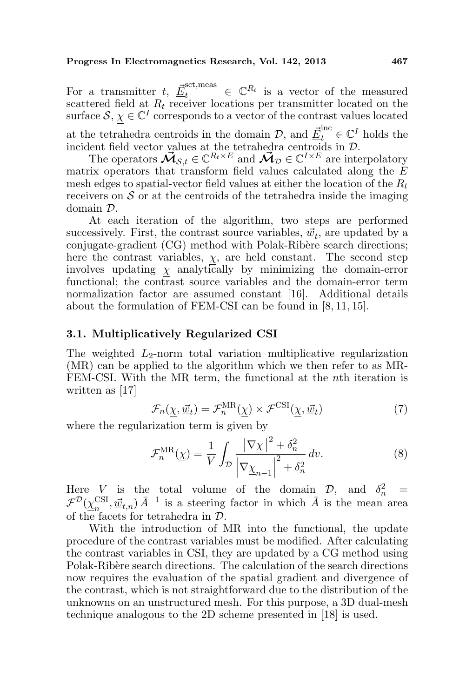For a transmitter t,  $\underline{\vec{E}}_t^{\text{set},\text{meas}} \in \mathbb{C}^{R_t}$  is a vector of the measured scattered field at  $R_t$  receiver locations per transmitter located on the surface  $\mathcal{S}, \chi \in \mathbb{C}^I$  corresponds to a vector of the contrast values located at the tetrahedra centroids in the domain  $\mathcal{D}$ , and  $\underline{\vec{E}}_t^{\text{inc}} \in \mathbb{C}^I$  holds the incident field vector values at the tetrahedra centroids in D.

The operators  $\mathbf{\vec{M}}_{\mathcal{S},t} \in \mathbb{C}^{R_t \times E}$  and  $\mathbf{\vec{M}}_{\mathcal{D}} \in \mathbb{C}^{I \times E}$  are interpolatory matrix operators that transform field values calculated along the E mesh edges to spatial-vector field values at either the location of the  $R_t$ receivers on  $S$  or at the centroids of the tetrahedra inside the imaging domain D.

At each iteration of the algorithm, two steps are performed successively. First, the contrast source variables,  $\underline{\vec{w}}_t$ , are updated by a conjugate-gradient (CG) method with Polak-Ribère search directions; here the contrast variables,  $\chi$ , are held constant. The second step involves updating  $\chi$  analytically by minimizing the domain-error functional; the contrast source variables and the domain-error term normalization factor are assumed constant [16]. Additional details about the formulation of FEM-CSI can be found in [8, 11, 15].

#### 3.1. Multiplicatively Regularized CSI

The weighted  $L_2$ -norm total variation multiplicative regularization (MR) can be applied to the algorithm which we then refer to as MR-FEM-CSI. With the MR term, the functional at the nth iteration is written as [17]

$$
\mathcal{F}_n(\underline{\chi}, \underline{\vec{w}}_t) = \mathcal{F}_n^{\text{MR}}(\underline{\chi}) \times \mathcal{F}^{\text{CSI}}(\underline{\chi}, \underline{\vec{w}}_t)
$$
(7)

where the regularization term is given by

$$
\mathcal{F}_n^{\text{MR}}(\underline{\chi}) = \frac{1}{V} \int_{\mathcal{D}} \frac{|\nabla \underline{\chi}|^2 + \delta_n^2}{\left|\nabla \underline{\chi}_{n-1}\right|^2 + \delta_n^2} dv. \tag{8}
$$

Here V is the total volume of the domain  $\mathcal{D}$ , and  $\delta_n^2$  =  $\mathcal{F}^{\mathcal{D}}(\chi^{\mathrm{CSI}}_{-}$  $\lim_{n} \left( \vec{w}_{t,n} \right) \vec{A}^{-1}$  is a steering factor in which  $\vec{A}$  is the mean area of the facets for tetrahedra in D.

With the introduction of MR into the functional, the update procedure of the contrast variables must be modified. After calculating the contrast variables in CSI, they are updated by a CG method using Polak-Ribère search directions. The calculation of the search directions now requires the evaluation of the spatial gradient and divergence of the contrast, which is not straightforward due to the distribution of the unknowns on an unstructured mesh. For this purpose, a 3D dual-mesh technique analogous to the 2D scheme presented in [18] is used.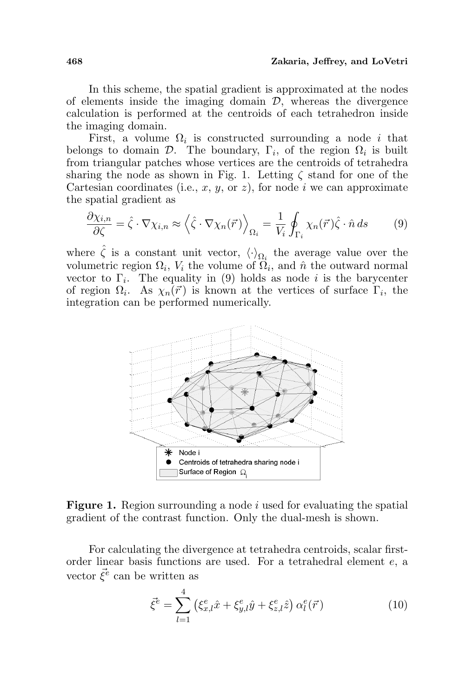In this scheme, the spatial gradient is approximated at the nodes of elements inside the imaging domain  $\mathcal{D}$ , whereas the divergence calculation is performed at the centroids of each tetrahedron inside the imaging domain.

First, a volume  $\Omega_i$  is constructed surrounding a node i that belongs to domain  $\mathcal{D}$ . The boundary,  $\Gamma_i$ , of the region  $\Omega_i$  is built from triangular patches whose vertices are the centroids of tetrahedra sharing the node as shown in Fig. 1. Letting  $\zeta$  stand for one of the Cartesian coordinates (i.e., x, y, or z), for node i we can approximate the spatial gradient as

$$
\frac{\partial \chi_{i,n}}{\partial \zeta} = \hat{\zeta} \cdot \nabla \chi_{i,n} \approx \left\langle \hat{\zeta} \cdot \nabla \chi_n(\vec{r}) \right\rangle_{\Omega_i} = \frac{1}{V_i} \oint_{\Gamma_i} \chi_n(\vec{r}) \hat{\zeta} \cdot \hat{n} \, ds \tag{9}
$$

where  $\hat{\zeta}$  is a constant unit vector,  $\langle \cdot \rangle_{\Omega_i}$  the average value over the volumetric region  $\Omega_i$ ,  $V_i$  the volume of  $\Omega_i$ , and  $\hat{n}$  the outward normal vector to  $\Gamma_i$ . The equality in (9) holds as node *i* is the barycenter of region  $\Omega_i$ . As  $\chi_n(\vec{r})$  is known at the vertices of surface  $\Gamma_i$ , the integration can be performed numerically.



**Figure 1.** Region surrounding a node i used for evaluating the spatial gradient of the contrast function. Only the dual-mesh is shown.

For calculating the divergence at tetrahedra centroids, scalar firstorder linear basis functions are used. For a tetrahedral element e, a vector  $\vec{\xi}^e$  can be written as

$$
\vec{\xi}^e = \sum_{l=1}^4 \left( \xi_{x,l}^e \hat{x} + \xi_{y,l}^e \hat{y} + \xi_{z,l}^e \hat{z} \right) \alpha_l^e(\vec{r}) \tag{10}
$$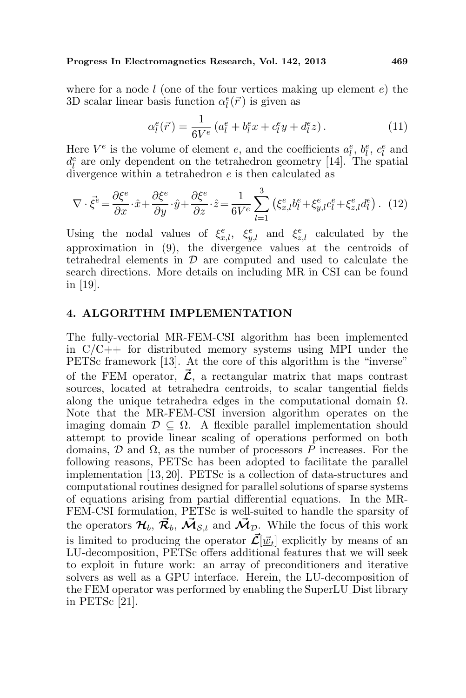where for a node  $l$  (one of the four vertices making up element  $e$ ) the 3D scalar linear basis function  $\alpha_l^e(\vec{r})$  is given as

$$
\alpha_l^e(\vec{r}) = \frac{1}{6V^e} \left( a_l^e + b_l^e x + c_l^e y + d_l^e z \right).
$$
 (11)

Here  $V^e$  is the volume of element e, and the coefficients  $a_l^e$ ,  $b_l^e$ ,  $c_l^e$  and  $d_l^e$  are only dependent on the tetrahedron geometry [14]. The spatial divergence within a tetrahedron e is then calculated as

$$
\nabla \cdot \vec{\xi}^e = \frac{\partial \xi^e}{\partial x} \cdot \hat{x} + \frac{\partial \xi^e}{\partial y} \cdot \hat{y} + \frac{\partial \xi^e}{\partial z} \cdot \hat{z} = \frac{1}{6V^e} \sum_{l=1}^3 \left( \xi_{x,l}^e b_l^e + \xi_{y,l}^e c_l^e + \xi_{z,l}^e d_l^e \right). \tag{12}
$$

Using the nodal values of  $\xi_{x,l}^e$ ,  $\xi_{y,l}^e$  and  $\xi_{z,l}^e$  calculated by the approximation in (9), the divergence values at the centroids of tetrahedral elements in  $\mathcal D$  are computed and used to calculate the search directions. More details on including MR in CSI can be found in [19].

## 4. ALGORITHM IMPLEMENTATION

The fully-vectorial MR-FEM-CSI algorithm has been implemented in  $C/C++$  for distributed memory systems using MPI under the PETSc framework [13]. At the core of this algorithm is the "inverse" of the FEM operator,  $\vec{\mathcal{L}}$ , a rectangular matrix that maps contrast sources, located at tetrahedra centroids, to scalar tangential fields along the unique tetrahedra edges in the computational domain  $\Omega$ . Note that the MR-FEM-CSI inversion algorithm operates on the imaging domain  $\mathcal{D} \subseteq \Omega$ . A flexible parallel implementation should attempt to provide linear scaling of operations performed on both domains,  $\mathcal D$  and  $\Omega$ , as the number of processors P increases. For the following reasons, PETSc has been adopted to facilitate the parallel implementation [13, 20]. PETSc is a collection of data-structures and computational routines designed for parallel solutions of sparse systems of equations arising from partial differential equations. In the MR-FEM-CSI formulation, PETSc is well-suited to handle the sparsity of the operators  $\mathcal{H}_b$ ,  $\vec{\mathcal{R}}_b$ ,  $\vec{\mathcal{M}}_{s,t}$  and  $\vec{\mathcal{M}}_{\mathcal{D}}$ . While the focus of this work is limited to producing the operator  $\vec{\mathcal{L}}[\vec{\underline{w}}_t]$  explicitly by means of an LU-decomposition, PETSc offers additional features that we will seek to exploit in future work: an array of preconditioners and iterative solvers as well as a GPU interface. Herein, the LU-decomposition of the FEM operator was performed by enabling the SuperLU Dist library in PETSc [21].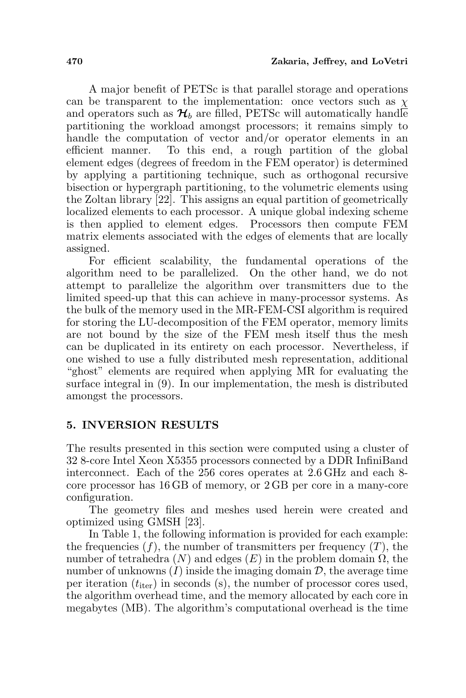A major benefit of PETSc is that parallel storage and operations can be transparent to the implementation: once vectors such as  $\chi$ and operators such as  $\mathcal{H}_b$  are filled, PETSc will automatically handle partitioning the workload amongst processors; it remains simply to handle the computation of vector and/or operator elements in an efficient manner. To this end, a rough partition of the global element edges (degrees of freedom in the FEM operator) is determined by applying a partitioning technique, such as orthogonal recursive bisection or hypergraph partitioning, to the volumetric elements using the Zoltan library [22]. This assigns an equal partition of geometrically localized elements to each processor. A unique global indexing scheme is then applied to element edges. Processors then compute FEM matrix elements associated with the edges of elements that are locally assigned.

For efficient scalability, the fundamental operations of the algorithm need to be parallelized. On the other hand, we do not attempt to parallelize the algorithm over transmitters due to the limited speed-up that this can achieve in many-processor systems. As the bulk of the memory used in the MR-FEM-CSI algorithm is required for storing the LU-decomposition of the FEM operator, memory limits are not bound by the size of the FEM mesh itself thus the mesh can be duplicated in its entirety on each processor. Nevertheless, if one wished to use a fully distributed mesh representation, additional "ghost" elements are required when applying MR for evaluating the surface integral in (9). In our implementation, the mesh is distributed amongst the processors.

## 5. INVERSION RESULTS

The results presented in this section were computed using a cluster of 32 8-core Intel Xeon X5355 processors connected by a DDR InfiniBand interconnect. Each of the 256 cores operates at 2.6 GHz and each 8 core processor has 16 GB of memory, or 2 GB per core in a many-core configuration.

The geometry files and meshes used herein were created and optimized using GMSH [23].

In Table 1, the following information is provided for each example: the frequencies  $(f)$ , the number of transmitters per frequency  $(T)$ , the number of tetrahedra  $(N)$  and edges  $(E)$  in the problem domain  $\Omega$ , the number of unknowns  $(I)$  inside the imaging domain  $D$ , the average time per iteration  $(t_{\text{iter}})$  in seconds (s), the number of processor cores used, the algorithm overhead time, and the memory allocated by each core in megabytes (MB). The algorithm's computational overhead is the time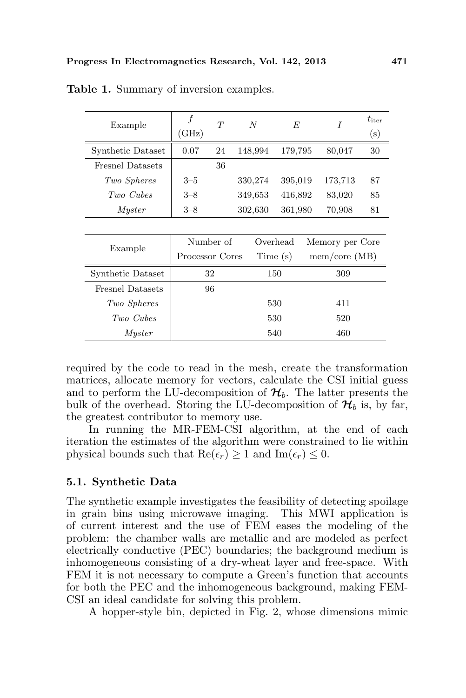| Example                 | f<br>(GHz)      | T         | $\overline{N}$ | $F_{i}$  | I               | $t_{\rm iter}$<br>(s) |
|-------------------------|-----------------|-----------|----------------|----------|-----------------|-----------------------|
| Synthetic Dataset       | 0.07            | 24        | 148,994        | 179,795  | 80,047          | 30                    |
| <b>Fresnel Datasets</b> |                 | 36        |                |          |                 |                       |
| Two Spheres             | $3 - 5$         |           | 330,274        | 395,019  | 173,713         | 87                    |
| Two Cubes               | $3 - 8$         |           | 349,653        | 416,892  | 83,020          | 85                    |
| <i>Myster</i>           | $3 - 8$         |           | 302,630        | 361,980  | 70,908          | 81                    |
|                         |                 |           |                |          |                 |                       |
| Example                 |                 | Number of |                | Overhead | Memory per Core |                       |
|                         | Processor Cores |           |                | Time(s)  | mem/core (MB)   |                       |
| Synthetic Dataset       | 32              |           |                | 150      | 309             |                       |
| <b>Fresnel Datasets</b> |                 | 96        |                |          |                 |                       |
| Two Spheres             |                 |           |                | 530      | 411             |                       |
| Two Cubes               |                 |           |                | 530      | 520             |                       |
| Myster                  |                 |           |                | 540      | 460             |                       |

Table 1. Summary of inversion examples.

required by the code to read in the mesh, create the transformation matrices, allocate memory for vectors, calculate the CSI initial guess and to perform the LU-decomposition of  $\mathcal{H}_{b}$ . The latter presents the bulk of the overhead. Storing the LU-decomposition of  $\mathcal{H}_b$  is, by far, the greatest contributor to memory use.

In running the MR-FEM-CSI algorithm, at the end of each iteration the estimates of the algorithm were constrained to lie within physical bounds such that  $\text{Re}(\epsilon_r) \geq 1$  and  $\text{Im}(\epsilon_r) \leq 0$ .

#### 5.1. Synthetic Data

The synthetic example investigates the feasibility of detecting spoilage in grain bins using microwave imaging. This MWI application is of current interest and the use of FEM eases the modeling of the problem: the chamber walls are metallic and are modeled as perfect electrically conductive (PEC) boundaries; the background medium is inhomogeneous consisting of a dry-wheat layer and free-space. With FEM it is not necessary to compute a Green's function that accounts for both the PEC and the inhomogeneous background, making FEM-CSI an ideal candidate for solving this problem.

A hopper-style bin, depicted in Fig. 2, whose dimensions mimic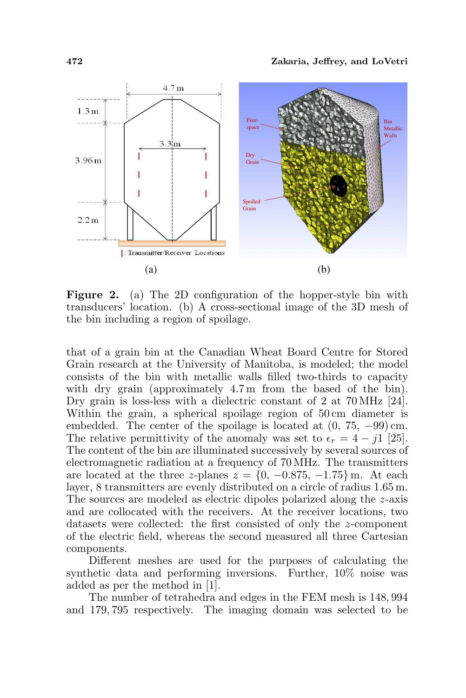

Figure 2. (a) The 2D configuration of the hopper-style bin with transducers' location. (b) A cross-sectional image of the 3D mesh of the bin including a region of spoilage.

that of a grain bin at the Canadian Wheat Board Centre for Stored Grain research at the University of Manitoba, is modeled; the model consists of the bin with metallic walls filled two-thirds to capacity with dry grain (approximately 4.7m from the based of the bin). Dry grain is loss-less with a dielectric constant of 2 at 70 MHz [24]. Within the grain, a spherical spoilage region of 50 cm diameter is embedded. The center of the spoilage is located at  $(0, 75, -99)$  cm. The relative permittivity of the anomaly was set to  $\epsilon_r = 4 - i1$  [25]. The content of the bin are illuminated successively by several sources of electromagnetic radiation at a frequency of 70 MHz. The transmitters are located at the three z-planes  $z = \{0, -0.875, -1.75\}$  m. At each layer, 8 transmitters are evenly distributed on a circle of radius 1.65 m. The sources are modeled as electric dipoles polarized along the z-axis and are collocated with the receivers. At the receiver locations, two datasets were collected: the first consisted of only the z-component of the electric field, whereas the second measured all three Cartesian components.

Different meshes are used for the purposes of calculating the synthetic data and performing inversions. Further, 10% noise was added as per the method in [1].

The number of tetrahedra and edges in the FEM mesh is 148, 994 and 179, 795 respectively. The imaging domain was selected to be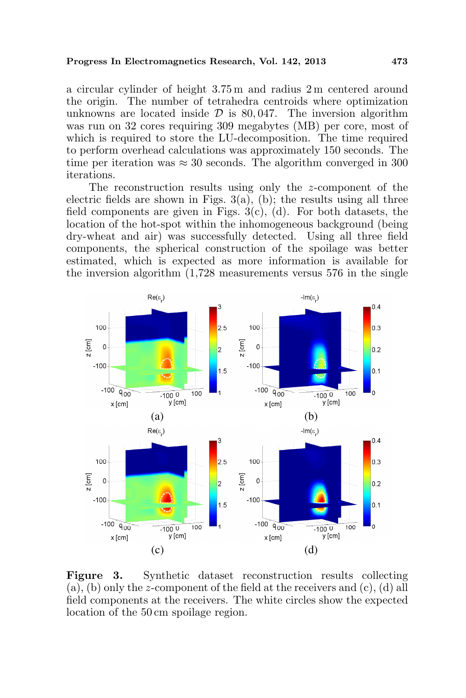a circular cylinder of height 3.75 m and radius 2 m centered around the origin. The number of tetrahedra centroids where optimization unknowns are located inside  $\mathcal D$  is 80,047. The inversion algorithm was run on 32 cores requiring 309 megabytes (MB) per core, most of which is required to store the LU-decomposition. The time required to perform overhead calculations was approximately 150 seconds. The time per iteration was  $\approx 30$  seconds. The algorithm converged in 300 iterations.

The reconstruction results using only the z-component of the electric fields are shown in Figs.  $3(a)$ , (b); the results using all three field components are given in Figs.  $3(c)$ , (d). For both datasets, the location of the hot-spot within the inhomogeneous background (being dry-wheat and air) was successfully detected. Using all three field components, the spherical construction of the spoilage was better estimated, which is expected as more information is available for the inversion algorithm (1,728 measurements versus 576 in the single



Figure 3. Synthetic dataset reconstruction results collecting (a), (b) only the z-component of the field at the receivers and  $(c)$ , (d) all field components at the receivers. The white circles show the expected location of the 50 cm spoilage region.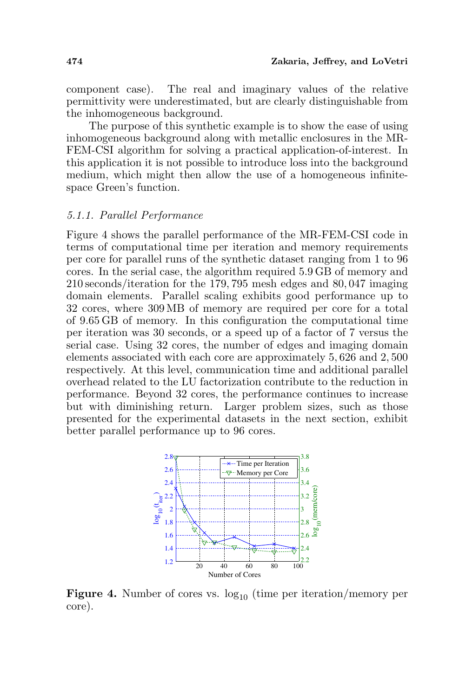component case). The real and imaginary values of the relative permittivity were underestimated, but are clearly distinguishable from the inhomogeneous background.

The purpose of this synthetic example is to show the ease of using inhomogeneous background along with metallic enclosures in the MR-FEM-CSI algorithm for solving a practical application-of-interest. In this application it is not possible to introduce loss into the background medium, which might then allow the use of a homogeneous infinitespace Green's function.

#### 5.1.1. Parallel Performance

Figure 4 shows the parallel performance of the MR-FEM-CSI code in terms of computational time per iteration and memory requirements per core for parallel runs of the synthetic dataset ranging from 1 to 96 cores. In the serial case, the algorithm required 5.9 GB of memory and 210 seconds/iteration for the 179, 795 mesh edges and 80, 047 imaging domain elements. Parallel scaling exhibits good performance up to 32 cores, where 309 MB of memory are required per core for a total of 9.65 GB of memory. In this configuration the computational time per iteration was 30 seconds, or a speed up of a factor of 7 versus the serial case. Using 32 cores, the number of edges and imaging domain elements associated with each core are approximately 5, 626 and 2, 500 respectively. At this level, communication time and additional parallel overhead related to the LU factorization contribute to the reduction in performance. Beyond 32 cores, the performance continues to increase but with diminishing return. Larger problem sizes, such as those presented for the experimental datasets in the next section, exhibit better parallel performance up to 96 cores.



**Figure 4.** Number of cores vs.  $log_{10}$  (time per iteration/memory per core).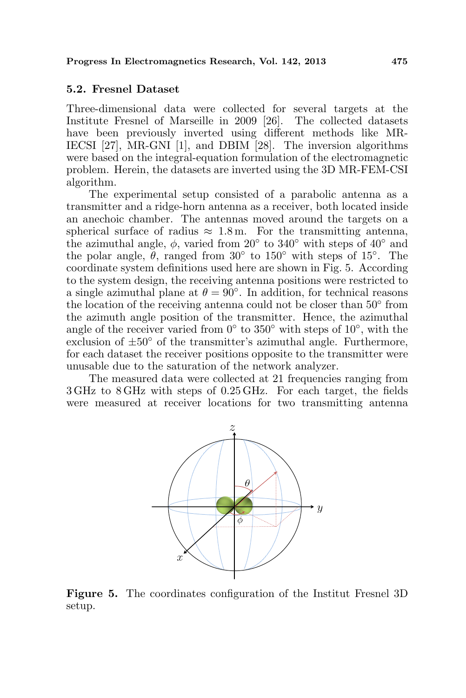### 5.2. Fresnel Dataset

Three-dimensional data were collected for several targets at the Institute Fresnel of Marseille in 2009 [26]. The collected datasets have been previously inverted using different methods like MR-IECSI [27], MR-GNI [1], and DBIM [28]. The inversion algorithms were based on the integral-equation formulation of the electromagnetic problem. Herein, the datasets are inverted using the 3D MR-FEM-CSI algorithm.

The experimental setup consisted of a parabolic antenna as a transmitter and a ridge-horn antenna as a receiver, both located inside an anechoic chamber. The antennas moved around the targets on a spherical surface of radius  $\approx 1.8$  m. For the transmitting antenna, the azimuthal angle,  $\phi$ , varied from 20 $\degree$  to 340 $\degree$  with steps of 40 $\degree$  and the polar angle,  $\theta$ , ranged from 30° to 150° with steps of 15°. The coordinate system definitions used here are shown in Fig. 5. According to the system design, the receiving antenna positions were restricted to a single azimuthal plane at  $\theta = 90^{\circ}$ . In addition, for technical reasons the location of the receiving antenna could not be closer than 50◦ from the azimuth angle position of the transmitter. Hence, the azimuthal angle of the receiver varied from  $0^{\circ}$  to  $350^{\circ}$  with steps of  $10^{\circ}$ , with the exclusion of  $\pm 50^{\circ}$  of the transmitter's azimuthal angle. Furthermore, for each dataset the receiver positions opposite to the transmitter were unusable due to the saturation of the network analyzer.

The measured data were collected at 21 frequencies ranging from 3 GHz to 8 GHz with steps of 0.25 GHz. For each target, the fields were measured at receiver locations for two transmitting antenna



Figure 5. The coordinates configuration of the Institut Fresnel 3D setup.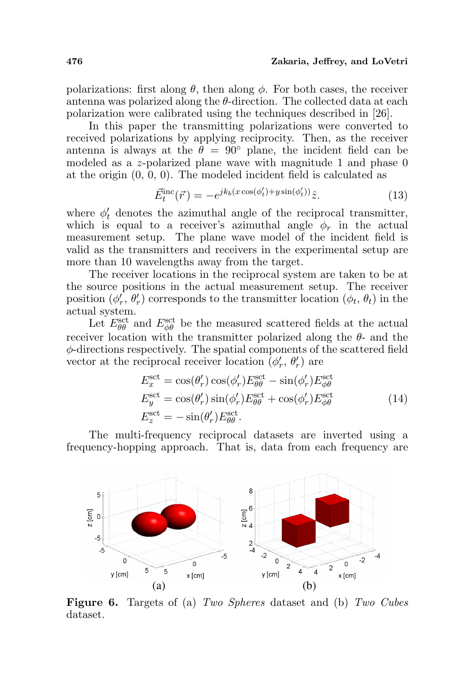polarizations: first along  $\theta$ , then along  $\phi$ . For both cases, the receiver antenna was polarized along the  $\theta$ -direction. The collected data at each polarization were calibrated using the techniques described in [26].

In this paper the transmitting polarizations were converted to received polarizations by applying reciprocity. Then, as the receiver antenna is always at the  $\theta = 90^{\circ}$  plane, the incident field can be modeled as a z-polarized plane wave with magnitude 1 and phase 0 at the origin (0, 0, 0). The modeled incident field is calculated as

$$
\vec{E}_t^{\text{inc}}(\vec{r}) = -e^{jk_b(x\cos(\phi_t') + y\sin(\phi_t'))}\hat{z}.\tag{13}
$$

where  $\phi'_t$  denotes the azimuthal angle of the reciprocal transmitter, which is equal to a receiver's azimuthal angle  $\phi_r$  in the actual measurement setup. The plane wave model of the incident field is valid as the transmitters and receivers in the experimental setup are more than 10 wavelengths away from the target.

The receiver locations in the reciprocal system are taken to be at the source positions in the actual measurement setup. The receiver position  $(\phi'_r, \theta'_r)$  corresponds to the transmitter location  $(\phi_t, \theta_t)$  in the actual system.

Let  $E_{\theta\theta}^{\text{set}}$  and  $E_{\phi\theta}^{\text{set}}$  be the measured scattered fields at the actual receiver location with the transmitter polarized along the  $\theta$ - and the φ-directions respectively. The spatial components of the scattered field vector at the reciprocal receiver location  $(\phi'_r, \theta'_r)$  are

$$
E_x^{\text{set}} = \cos(\theta'_r) \cos(\phi'_r) E_{\theta\theta}^{\text{set}} - \sin(\phi'_r) E_{\phi\theta}^{\text{set}}
$$
  
\n
$$
E_y^{\text{set}} = \cos(\theta'_r) \sin(\phi'_r) E_{\theta\theta}^{\text{set}} + \cos(\phi'_r) E_{\phi\theta}^{\text{set}}
$$
  
\n
$$
E_z^{\text{set}} = -\sin(\theta'_r) E_{\theta\theta}^{\text{set}}.
$$
\n(14)

The multi-frequency reciprocal datasets are inverted using a frequency-hopping approach. That is, data from each frequency are



Figure 6. Targets of (a) Two Spheres dataset and (b) Two Cubes dataset.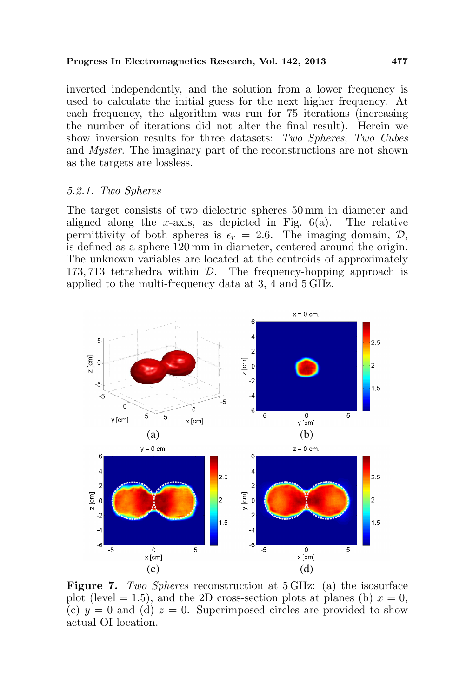inverted independently, and the solution from a lower frequency is used to calculate the initial guess for the next higher frequency. At each frequency, the algorithm was run for 75 iterations (increasing the number of iterations did not alter the final result). Herein we show inversion results for three datasets: Two Spheres, Two Cubes and Myster. The imaginary part of the reconstructions are not shown as the targets are lossless.

### 5.2.1. Two Spheres

The target consists of two dielectric spheres 50 mm in diameter and aligned along the x-axis, as depicted in Fig.  $6(a)$ . The relative permittivity of both spheres is  $\epsilon_r = 2.6$ . The imaging domain,  $\mathcal{D}$ , is defined as a sphere 120 mm in diameter, centered around the origin. The unknown variables are located at the centroids of approximately 173, 713 tetrahedra within D. The frequency-hopping approach is applied to the multi-frequency data at 3, 4 and 5 GHz.



Figure 7. Two Spheres reconstruction at 5 GHz: (a) the isosurface plot (level = 1.5), and the 2D cross-section plots at planes (b)  $x = 0$ , (c)  $y = 0$  and (d)  $z = 0$ . Superimposed circles are provided to show actual OI location.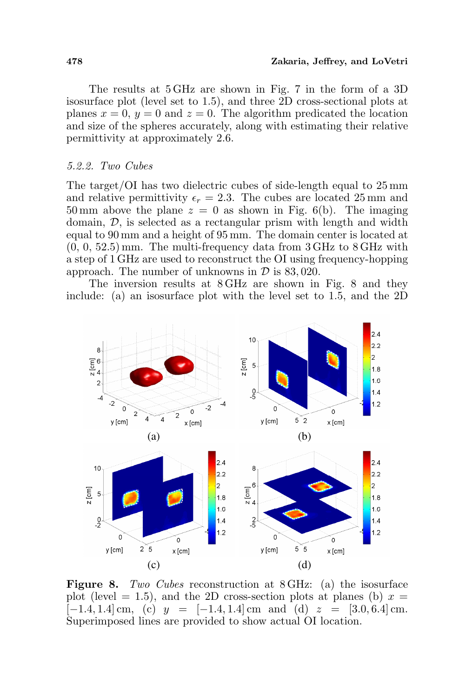The results at 5 GHz are shown in Fig. 7 in the form of a 3D isosurface plot (level set to 1.5), and three 2D cross-sectional plots at planes  $x = 0$ ,  $y = 0$  and  $z = 0$ . The algorithm predicated the location and size of the spheres accurately, along with estimating their relative permittivity at approximately 2.6.

#### 5.2.2. Two Cubes

The target/OI has two dielectric cubes of side-length equal to 25 mm and relative permittivity  $\epsilon_r = 2.3$ . The cubes are located 25 mm and 50 mm above the plane  $z = 0$  as shown in Fig. 6(b). The imaging domain, D, is selected as a rectangular prism with length and width equal to 90 mm and a height of 95 mm. The domain center is located at  $(0, 0, 52.5)$  mm. The multi-frequency data from  $3 \text{ GHz}$  to  $8 \text{ GHz}$  with a step of 1 GHz are used to reconstruct the OI using frequency-hopping approach. The number of unknowns in  $\mathcal D$  is 83,020.

The inversion results at 8 GHz are shown in Fig. 8 and they include: (a) an isosurface plot with the level set to 1.5, and the 2D



Figure 8. Two Cubes reconstruction at 8 GHz: (a) the isosurface plot (level  $= 1.5$ ), and the 2D cross-section plots at planes (b)  $x =$  $[-1.4, 1.4]$  cm, (c)  $y = [-1.4, 1.4]$  cm and (d)  $z = [3.0, 6.4]$  cm. Superimposed lines are provided to show actual OI location.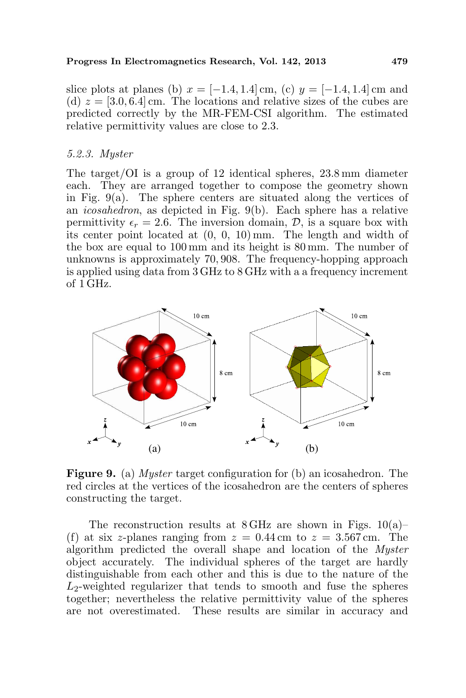slice plots at planes (b)  $x = [-1.4, 1.4]$  cm, (c)  $y = [-1.4, 1.4]$  cm and (d)  $z = [3.0, 6.4]$  cm. The locations and relative sizes of the cubes are predicted correctly by the MR-FEM-CSI algorithm. The estimated relative permittivity values are close to 2.3.

#### 5.2.3. Myster

The target/OI is a group of 12 identical spheres, 23.8 mm diameter each. They are arranged together to compose the geometry shown in Fig.  $9(a)$ . The sphere centers are situated along the vertices of an icosahedron, as depicted in Fig. 9(b). Each sphere has a relative permittivity  $\epsilon_r = 2.6$ . The inversion domain, D, is a square box with its center point located at (0, 0, 10) mm. The length and width of the box are equal to 100 mm and its height is 80 mm. The number of unknowns is approximately 70, 908. The frequency-hopping approach is applied using data from 3 GHz to 8 GHz with a a frequency increment of 1 GHz.



Figure 9. (a) Myster target configuration for (b) an icosahedron. The red circles at the vertices of the icosahedron are the centers of spheres constructing the target.

The reconstruction results at  $8 \text{ GHz}$  are shown in Figs. 10(a)– (f) at six z-planes ranging from  $z = 0.44$  cm to  $z = 3.567$  cm. The algorithm predicted the overall shape and location of the Myster object accurately. The individual spheres of the target are hardly distinguishable from each other and this is due to the nature of the  $L_2$ -weighted regularizer that tends to smooth and fuse the spheres together; nevertheless the relative permittivity value of the spheres are not overestimated. These results are similar in accuracy and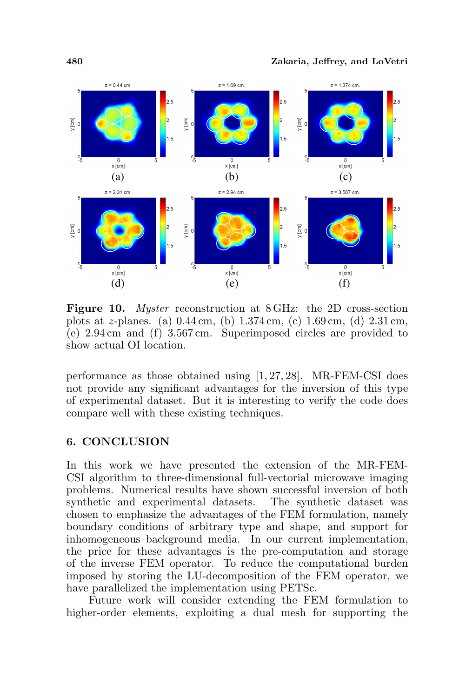

Figure 10. Myster reconstruction at 8 GHz: the 2D cross-section plots at z-planes. (a) 0.44 cm, (b) 1.374 cm, (c) 1.69 cm, (d) 2.31 cm, (e) 2.94 cm and (f) 3.567 cm. Superimposed circles are provided to show actual OI location.

performance as those obtained using [1, 27, 28]. MR-FEM-CSI does not provide any significant advantages for the inversion of this type of experimental dataset. But it is interesting to verify the code does compare well with these existing techniques.

## 6. CONCLUSION

In this work we have presented the extension of the MR-FEM-CSI algorithm to three-dimensional full-vectorial microwave imaging problems. Numerical results have shown successful inversion of both synthetic and experimental datasets. The synthetic dataset was chosen to emphasize the advantages of the FEM formulation, namely boundary conditions of arbitrary type and shape, and support for inhomogeneous background media. In our current implementation, the price for these advantages is the pre-computation and storage of the inverse FEM operator. To reduce the computational burden imposed by storing the LU-decomposition of the FEM operator, we have parallelized the implementation using PETSc.

Future work will consider extending the FEM formulation to higher-order elements, exploiting a dual mesh for supporting the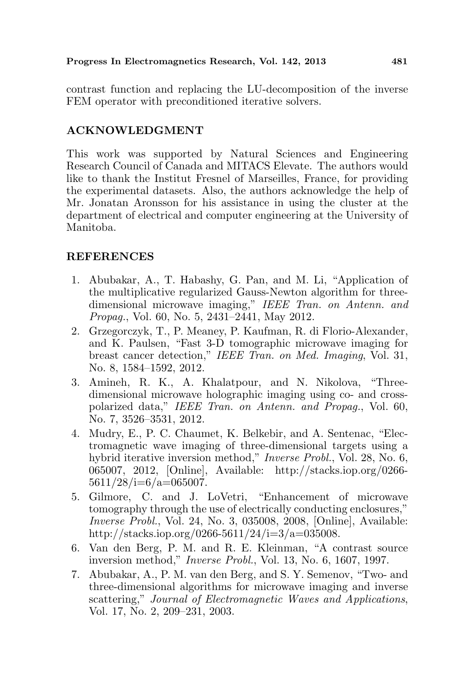contrast function and replacing the LU-decomposition of the inverse FEM operator with preconditioned iterative solvers.

# ACKNOWLEDGMENT

This work was supported by Natural Sciences and Engineering Research Council of Canada and MITACS Elevate. The authors would like to thank the Institut Fresnel of Marseilles, France, for providing the experimental datasets. Also, the authors acknowledge the help of Mr. Jonatan Aronsson for his assistance in using the cluster at the department of electrical and computer engineering at the University of Manitoba.

# **REFERENCES**

- 1. Abubakar, A., T. Habashy, G. Pan, and M. Li, "Application of the multiplicative regularized Gauss-Newton algorithm for threedimensional microwave imaging," IEEE Tran. on Antenn. and Propag., Vol. 60, No. 5, 2431–2441, May 2012.
- 2. Grzegorczyk, T., P. Meaney, P. Kaufman, R. di Florio-Alexander, and K. Paulsen, "Fast 3-D tomographic microwave imaging for breast cancer detection," IEEE Tran. on Med. Imaging, Vol. 31, No. 8, 1584–1592, 2012.
- 3. Amineh, R. K., A. Khalatpour, and N. Nikolova, "Threedimensional microwave holographic imaging using co- and crosspolarized data," IEEE Tran. on Antenn. and Propag., Vol. 60, No. 7, 3526–3531, 2012.
- 4. Mudry, E., P. C. Chaumet, K. Belkebir, and A. Sentenac, "Electromagnetic wave imaging of three-dimensional targets using a hybrid iterative inversion method," Inverse Probl., Vol. 28, No. 6, 065007, 2012, [Online], Available: http://stacks.iop.org/0266-  $5611/28/i=6/a=065007.$
- 5. Gilmore, C. and J. LoVetri, "Enhancement of microwave tomography through the use of electrically conducting enclosures," Inverse Probl., Vol. 24, No. 3, 035008, 2008, [Online], Available: http://stacks.iop.org/0266-5611/24/i=3/a=035008.
- 6. Van den Berg, P. M. and R. E. Kleinman, "A contrast source inversion method," Inverse Probl., Vol. 13, No. 6, 1607, 1997.
- 7. Abubakar, A., P. M. van den Berg, and S. Y. Semenov, "Two- and three-dimensional algorithms for microwave imaging and inverse scattering," Journal of Electromagnetic Waves and Applications, Vol. 17, No. 2, 209–231, 2003.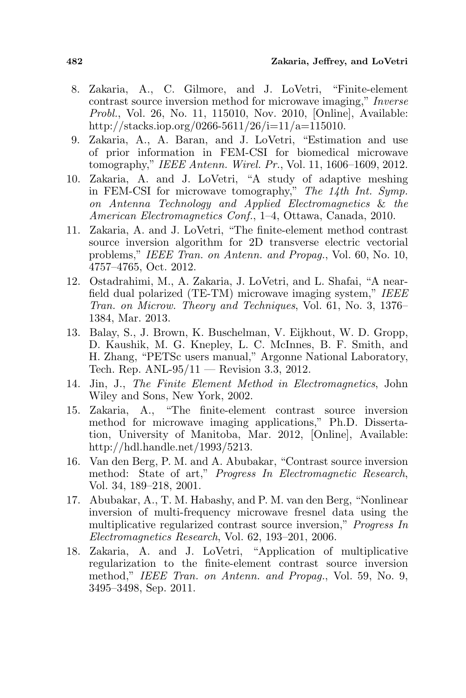- 8. Zakaria, A., C. Gilmore, and J. LoVetri, "Finite-element contrast source inversion method for microwave imaging," Inverse Probl., Vol. 26, No. 11, 115010, Nov. 2010, [Online], Available: http://stacks.iop.org/0266-5611/26/i=11/a=115010.
- 9. Zakaria, A., A. Baran, and J. LoVetri, "Estimation and use of prior information in FEM-CSI for biomedical microwave tomography," IEEE Antenn. Wirel. Pr., Vol. 11, 1606–1609, 2012.
- 10. Zakaria, A. and J. LoVetri, "A study of adaptive meshing in FEM-CSI for microwave tomography," The 14th Int. Symp. on Antenna Technology and Applied Electromagnetics & the American Electromagnetics Conf., 1–4, Ottawa, Canada, 2010.
- 11. Zakaria, A. and J. LoVetri, "The finite-element method contrast source inversion algorithm for 2D transverse electric vectorial problems," IEEE Tran. on Antenn. and Propag., Vol. 60, No. 10, 4757–4765, Oct. 2012.
- 12. Ostadrahimi, M., A. Zakaria, J. LoVetri, and L. Shafai, "A nearfield dual polarized (TE-TM) microwave imaging system," IEEE Tran. on Microw. Theory and Techniques, Vol. 61, No. 3, 1376– 1384, Mar. 2013.
- 13. Balay, S., J. Brown, K. Buschelman, V. Eijkhout, W. D. Gropp, D. Kaushik, M. G. Knepley, L. C. McInnes, B. F. Smith, and H. Zhang, "PETSc users manual," Argonne National Laboratory, Tech. Rep. ANL-95/11 — Revision 3.3, 2012.
- 14. Jin, J., The Finite Element Method in Electromagnetics, John Wiley and Sons, New York, 2002.
- 15. Zakaria, A., "The finite-element contrast source inversion method for microwave imaging applications," Ph.D. Dissertation, University of Manitoba, Mar. 2012, [Online], Available: http://hdl.handle.net/1993/5213.
- 16. Van den Berg, P. M. and A. Abubakar, "Contrast source inversion method: State of art," Progress In Electromagnetic Research, Vol. 34, 189–218, 2001.
- 17. Abubakar, A., T. M. Habashy, and P. M. van den Berg, "Nonlinear inversion of multi-frequency microwave fresnel data using the multiplicative regularized contrast source inversion," Progress In Electromagnetics Research, Vol. 62, 193–201, 2006.
- 18. Zakaria, A. and J. LoVetri, "Application of multiplicative regularization to the finite-element contrast source inversion method," IEEE Tran. on Antenn. and Propag., Vol. 59, No. 9, 3495–3498, Sep. 2011.